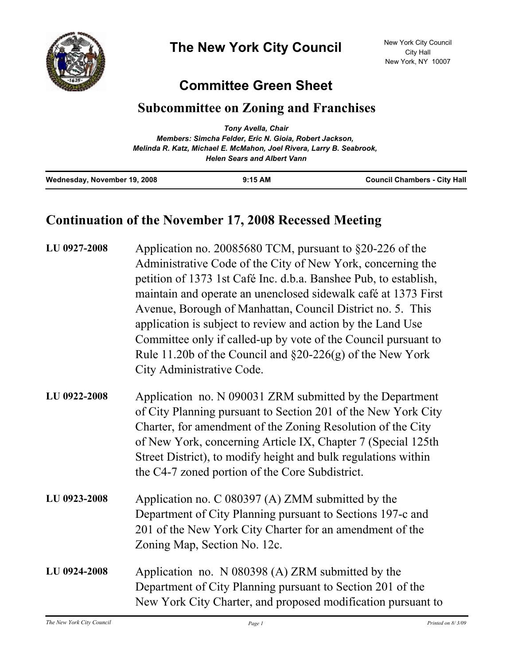

## **Committee Green Sheet**

## **Subcommittee on Zoning and Franchises**

|                              | Tony Avella, Chair                                                                                         |                                     |
|------------------------------|------------------------------------------------------------------------------------------------------------|-------------------------------------|
|                              | Members: Simcha Felder, Eric N. Gioia, Robert Jackson,                                                     |                                     |
|                              | Melinda R. Katz, Michael E. McMahon, Joel Rivera, Larry B. Seabrook,<br><b>Helen Sears and Albert Vann</b> |                                     |
| Wednesday, November 19, 2008 | $9:15$ AM                                                                                                  | <b>Council Chambers - City Hall</b> |

## **Continuation of the November 17, 2008 Recessed Meeting**

| LU 0927-2008 | Application no. 20085680 TCM, pursuant to §20-226 of the<br>Administrative Code of the City of New York, concerning the<br>petition of 1373 1st Café Inc. d.b.a. Banshee Pub, to establish,<br>maintain and operate an unenclosed sidewalk café at 1373 First<br>Avenue, Borough of Manhattan, Council District no. 5. This<br>application is subject to review and action by the Land Use<br>Committee only if called-up by vote of the Council pursuant to<br>Rule 11.20b of the Council and $\S20-226(g)$ of the New York<br>City Administrative Code. |
|--------------|-----------------------------------------------------------------------------------------------------------------------------------------------------------------------------------------------------------------------------------------------------------------------------------------------------------------------------------------------------------------------------------------------------------------------------------------------------------------------------------------------------------------------------------------------------------|
| LU 0922-2008 | Application no. N 090031 ZRM submitted by the Department<br>of City Planning pursuant to Section 201 of the New York City<br>Charter, for amendment of the Zoning Resolution of the City<br>of New York, concerning Article IX, Chapter 7 (Special 125th)<br>Street District), to modify height and bulk regulations within<br>the C4-7 zoned portion of the Core Subdistrict.                                                                                                                                                                            |
| LU 0923-2008 | Application no. C 080397 (A) ZMM submitted by the<br>Department of City Planning pursuant to Sections 197-c and<br>201 of the New York City Charter for an amendment of the<br>Zoning Map, Section No. 12c.                                                                                                                                                                                                                                                                                                                                               |
| LU 0924-2008 | Application no. N 080398 (A) ZRM submitted by the<br>Department of City Planning pursuant to Section 201 of the<br>New York City Charter, and proposed modification pursuant to                                                                                                                                                                                                                                                                                                                                                                           |